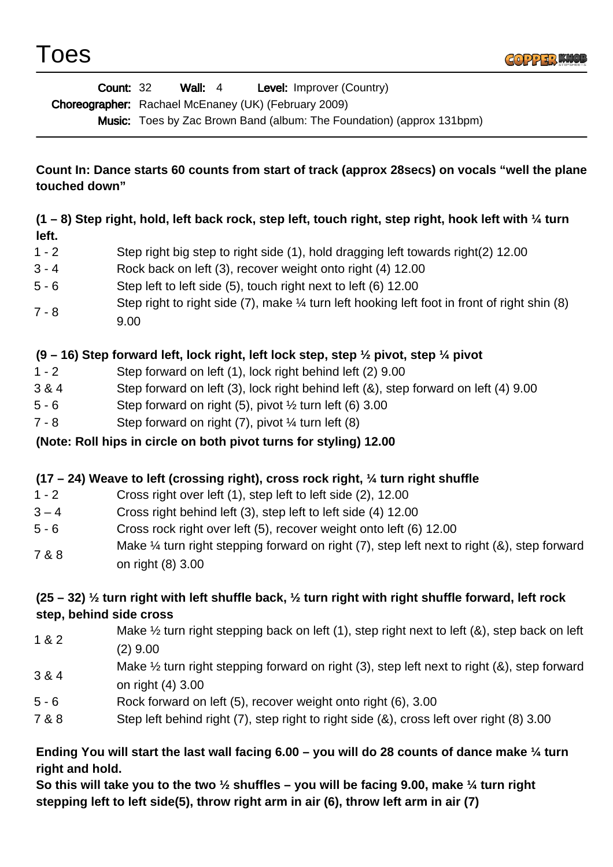

|                                                                                                                                                                                                                                                   | Level: Improver (Country)<br><b>Count: 32</b><br>Wall: $4$<br>Choreographer: Rachael McEnaney (UK) (February 2009)<br>Music: Toes by Zac Brown Band (album: The Foundation) (approx 131bpm) |
|---------------------------------------------------------------------------------------------------------------------------------------------------------------------------------------------------------------------------------------------------|---------------------------------------------------------------------------------------------------------------------------------------------------------------------------------------------|
| Count In: Dance starts 60 counts from start of track (approx 28 secs) on vocals "well the plane<br>touched down"                                                                                                                                  |                                                                                                                                                                                             |
| $(1 - 8)$ Step right, hold, left back rock, step left, touch right, step right, hook left with $\frac{1}{4}$ turn                                                                                                                                 |                                                                                                                                                                                             |
| left.                                                                                                                                                                                                                                             |                                                                                                                                                                                             |
| $1 - 2$                                                                                                                                                                                                                                           | Step right big step to right side (1), hold dragging left towards right(2) 12.00                                                                                                            |
| $3 - 4$                                                                                                                                                                                                                                           | Rock back on left (3), recover weight onto right (4) 12.00                                                                                                                                  |
| $5 - 6$                                                                                                                                                                                                                                           | Step left to left side (5), touch right next to left (6) 12.00                                                                                                                              |
| $7 - 8$                                                                                                                                                                                                                                           | Step right to right side $(7)$ , make $\frac{1}{4}$ turn left hooking left foot in front of right shin $(8)$<br>9.00                                                                        |
| $(9 - 16)$ Step forward left, lock right, left lock step, step $\frac{1}{2}$ pivot, step $\frac{1}{4}$ pivot                                                                                                                                      |                                                                                                                                                                                             |
| $1 - 2$                                                                                                                                                                                                                                           | Step forward on left (1), lock right behind left (2) 9.00                                                                                                                                   |
| 3 & 4                                                                                                                                                                                                                                             | Step forward on left (3), lock right behind left (&), step forward on left (4) 9.00                                                                                                         |
| $5 - 6$                                                                                                                                                                                                                                           | Step forward on right (5), pivot $\frac{1}{2}$ turn left (6) 3.00                                                                                                                           |
| $7 - 8$                                                                                                                                                                                                                                           | Step forward on right $(7)$ , pivot $\frac{1}{4}$ turn left $(8)$                                                                                                                           |
| (Note: Roll hips in circle on both pivot turns for styling) 12.00                                                                                                                                                                                 |                                                                                                                                                                                             |
|                                                                                                                                                                                                                                                   | $(17 – 24)$ Weave to left (crossing right), cross rock right, $\frac{1}{4}$ turn right shuffle                                                                                              |
| $1 - 2$                                                                                                                                                                                                                                           | Cross right over left (1), step left to left side (2), 12.00                                                                                                                                |
| $3 - 4$                                                                                                                                                                                                                                           | Cross right behind left (3), step left to left side (4) 12.00                                                                                                                               |
| $5 - 6$                                                                                                                                                                                                                                           | Cross rock right over left (5), recover weight onto left (6) 12.00                                                                                                                          |
| 7 & 8                                                                                                                                                                                                                                             | Make $\frac{1}{4}$ turn right stepping forward on right (7), step left next to right (&), step forward<br>on right (8) 3.00                                                                 |
| $(25 - 32)$ % turn right with left shuffle back, % turn right with right shuffle forward, left rock                                                                                                                                               |                                                                                                                                                                                             |
| step, behind side cross                                                                                                                                                                                                                           |                                                                                                                                                                                             |
| 1&82                                                                                                                                                                                                                                              | Make $\frac{1}{2}$ turn right stepping back on left (1), step right next to left (&), step back on left<br>$(2)$ 9.00                                                                       |
| 3 & 4                                                                                                                                                                                                                                             | Make $\frac{1}{2}$ turn right stepping forward on right (3), step left next to right (&), step forward<br>on right (4) 3.00                                                                 |
| $5 - 6$                                                                                                                                                                                                                                           | Rock forward on left (5), recover weight onto right (6), 3.00                                                                                                                               |
| 7 & 8                                                                                                                                                                                                                                             | Step left behind right (7), step right to right side (&), cross left over right (8) 3.00                                                                                                    |
| Ending You will start the last wall facing $6.00 -$ you will do 28 counts of dance make $\frac{1}{4}$ turn<br>right and hold.<br>So this will take you to the two $\frac{1}{2}$ shuffles – you will be facing 9.00, make $\frac{1}{4}$ turn right |                                                                                                                                                                                             |

**stepping left to left side(5), throw right arm in air (6), throw left arm in air (7)**